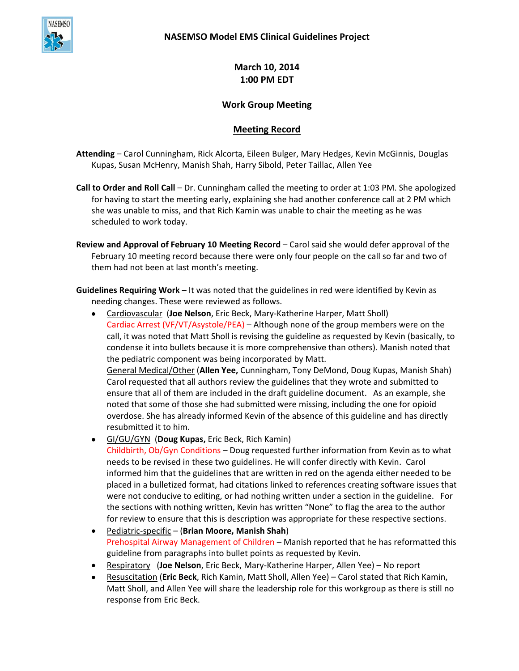

**March 10, 2014 1:00 PM EDT**

## **Work Group Meeting**

## **Meeting Record**

**Attending** – Carol Cunningham, Rick Alcorta, Eileen Bulger, Mary Hedges, Kevin McGinnis, Douglas Kupas, Susan McHenry, Manish Shah, Harry Sibold, Peter Taillac, Allen Yee

- **Call to Order and Roll Call** Dr. Cunningham called the meeting to order at 1:03 PM. She apologized for having to start the meeting early, explaining she had another conference call at 2 PM which she was unable to miss, and that Rich Kamin was unable to chair the meeting as he was scheduled to work today.
- **Review and Approval of February 10 Meeting Record** Carol said she would defer approval of the February 10 meeting record because there were only four people on the call so far and two of them had not been at last month's meeting.
- **Guidelines Requiring Work**  It was noted that the guidelines in red were identified by Kevin as needing changes. These were reviewed as follows.
	- Cardiovascular (**Joe Nelson**, Eric Beck, Mary-Katherine Harper, Matt Sholl) Cardiac Arrest (VF/VT/Asystole/PEA) – Although none of the group members were on the call, it was noted that Matt Sholl is revising the guideline as requested by Kevin (basically, to condense it into bullets because it is more comprehensive than others). Manish noted that the pediatric component was being incorporated by Matt. General Medical/Other (**Allen Yee,** Cunningham, Tony DeMond, Doug Kupas, Manish Shah) Carol requested that all authors review the guidelines that they wrote and submitted to ensure that all of them are included in the draft guideline document. As an example, she noted that some of those she had submitted were missing, including the one for opioid overdose. She has already informed Kevin of the absence of this guideline and has directly resubmitted it to him.
	- GI/GU/GYN (**Doug Kupas,** Eric Beck, Rich Kamin) Childbirth, Ob/Gyn Conditions – Doug requested further information from Kevin as to what needs to be revised in these two guidelines. He will confer directly with Kevin. Carol informed him that the guidelines that are written in red on the agenda either needed to be placed in a bulletized format, had citations linked to references creating software issues that were not conducive to editing, or had nothing written under a section in the guideline. For the sections with nothing written, Kevin has written "None" to flag the area to the author for review to ensure that this is description was appropriate for these respective sections.
	- Pediatric-specific (**Brian Moore, Manish Shah**)  $\bullet$ Prehospital Airway Management of Children – Manish reported that he has reformatted this guideline from paragraphs into bullet points as requested by Kevin.
	- Respiratory (**Joe Nelson**, Eric Beck, Mary-Katherine Harper, Allen Yee) No report
	- Resuscitation (**Eric Beck**, Rich Kamin, Matt Sholl, Allen Yee) Carol stated that Rich Kamin, Matt Sholl, and Allen Yee will share the leadership role for this workgroup as there is still no response from Eric Beck.